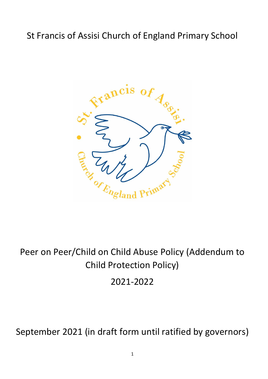## St Francis of Assisi Church of England Primary School



# Peer on Peer/Child on Child Abuse Policy (Addendum to Child Protection Policy)

2021-2022

September 2021 (in draft form until ratified by governors)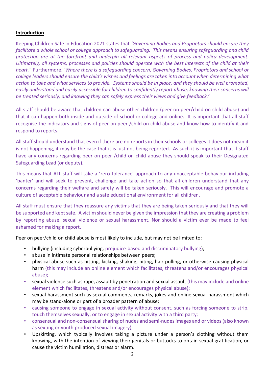#### **Introduction**

Keeping Children Safe in Education 2021 states that *'Governing Bodies and Proprietors should ensure they facilitate a whole school or college approach to safeguarding. This means ensuring safeguarding and child protection are at the forefront and underpin all relevant aspects of process and policy development. Ultimately, all systems, processes and policies should operate with the best interests of the child at their heart.'* Furthermore, *'Where there is a safeguarding concern, Governing Bodies, Proprietors and school or college leaders should ensure the child's wishes and feelings are taken into account when determining what action to take and what services to provide. Systems should be in place, and they should be well promoted, easily understood and easily accessible for children to confidently report abuse, knowing their concerns will be treated seriously, and knowing they can safely express their views and give feedback.'*

All staff should be aware that children can abuse other children (peer on peer/child on child abuse) and that it can happen both inside and outside of school or college and online. It is important that all staff recognise the indicators and signs of peer on peer /child on child abuse and know how to identify it and respond to reports.

All staff should understand that even if there are no reports in their schools or colleges it does not mean it is not happening, it may be the case that it is just not being reported. As such it is important that if staff have any concerns regarding peer on peer /child on child abuse they should speak to their Designated Safeguarding Lead (or deputy).

This means that ALL staff will take a 'zero-tolerance' approach to any unacceptable behaviour including 'banter' and will seek to prevent, challenge and take action so that all children understand that any concerns regarding their welfare and safety will be taken seriously. This will encourage and promote a culture of acceptable behaviour and a safe educational environment for all children.

All staff must ensure that they reassure any victims that they are being taken seriously and that they will be supported and kept safe. A victim should never be given the impression that they are creating a problem by reporting abuse, sexual violence or sexual harassment. Nor should a victim ever be made to feel ashamed for making a report.

Peer on peer/child on child abuse is most likely to include, but may not be limited to:

- bullying (including cyberbullying, prejudice-based and discriminatory bullying);
- abuse in intimate personal relationships between peers;
- physical abuse such as hitting, kicking, shaking, biting, hair pulling, or otherwise causing physical harm (this may include an online element which facilitates, threatens and/or encourages physical abuse);
- sexual violence such as rape, assault by penetration and sexual assault (this may include and online element which facilitates, threatens and/or encourages physical abuse);
- sexual harassment such as sexual comments, remarks, jokes and online sexual harassment which may be stand-alone or part of a broader pattern of abuse;
- causing someone to engage in sexual activity without consent, such as forcing someone to strip, touch themselves sexually, or to engage in sexual activity with a third party;
- consensual and non-consensual sharing of nudes and semi-nudes images and or videos (also known as sexting or youth produced sexual imagery);
- Upskirting, which typically involves taking a picture under a person's clothing without them knowing, with the intention of viewing their genitals or buttocks to obtain sexual gratification, or cause the victim humiliation, distress or alarm.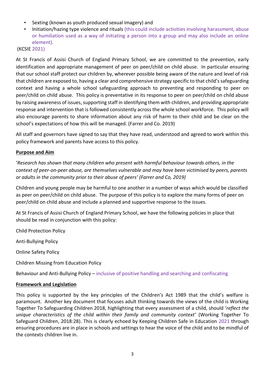- Sexting (known as youth produced sexual imagery) and
- Initiation/hazing type violence and rituals (this could include activities involving harassment, abuse or humiliation used as a way of initiating a person into a group and may also include an online element).

(KCSIE 2021)

At St Francis of Assisi Church of England Primary School, we are committed to the prevention, early identification and appropriate management of peer on peer/child on child abuse. In particular ensuring that our school staff protect our children by, wherever possible being aware of the nature and level of risk that children are exposed to, having a clear and comprehensive strategy specific to that child's safeguarding context and having a whole school safeguarding approach to preventing and responding to peer on peer/child on child abuse. This policy is preventative in its response to peer on peer/child on child abuse by raising awareness of issues, supporting staff in identifying them with children, and providing appropriate response and intervention that is followed consistently across the whole school workforce. This policy will also encourage parents to share information about any risk of harm to their child and be clear on the school's expectations of how this will be managed. (Farrer and Co. 2019)

All staff and governors have signed to say that they have read, understood and agreed to work within this policy framework and parents have access to this policy.

## **Purpose and Aim**

'*Research has shown that many children who present with harmful behaviour towards others, in the context of peer-on-peer abuse, are themselves vulnerable and may have been victimised by peers, parents or adults in the community prior to their abuse of peers' (Farrer and Co, 2019)*

Children and young people may be harmful to one another in a number of ways which would be classified as peer on peer/child on child abuse. The purpose of this policy is to explore the many forms of peer on peer/child on child abuse and include a planned and supportive response to the issues.

At St Francis of Assisi Church of England Primary School, we have the following policies in place that should be read in conjunction with this policy:

Child Protection Policy

Anti-Bullying Policy

Online Safety Policy

Children Missing from Education Policy

Behaviour and Anti-Bullying Policy – inclusive of positive handling and searching and confiscating

#### **Framework and Legislation**

This policy is supported by the key principles of the Children's Act 1989 that the child's welfare is paramount. Another key document that focuses adult thinking towards the views of the child is Working Together To Safeguarding Children 2018, highlighting that every assessment of a child, should '*reflect the unique characteristics of the child within their family and community context'* (Working Together To Safeguard Children, 2018:28). This is clearly echoed by Keeping Children Safe in Education 2021 through ensuring procedures are in place in schools and settings to hear the voice of the child and to be mindful of the contexts children live in.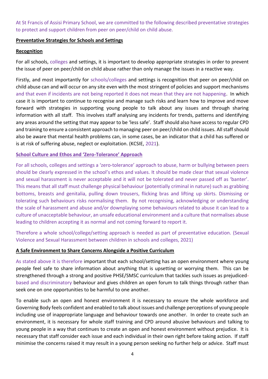At St Francis of Assisi Primary School, we are committed to the following described preventative strategies to protect and support children from peer on peer/child on child abuse.

#### **Preventative Strategies for Schools and Settings**

#### **Recognition**

For all schools, colleges and settings, it is important to develop appropriate strategies in order to prevent the issue of peer on peer/child on child abuse rather than only manage the issues in a reactive way.

Firstly, and most importantly for schools/colleges and settings is recognition that peer on peer/child on child abuse can and will occur on any site even with the most stringent of policies and support mechanisms and that even if incidents are not being reported it does not mean that they are not happening. In which case it is important to continue to recognise and manage such risks and learn how to improve and move forward with strategies in supporting young people to talk about any issues and through sharing information with all staff. This involves staff analysing any incidents for trends, patterns and identifying any areas around the setting that may appear to be 'less safe'. Staff should also have access to regular CPD and training to ensure a consistent approach to managing peer on peer/child on child issues. All staff should also be aware that mental health problems can, in some cases, be an indicator that a child has suffered or is at risk of suffering abuse, neglect or exploitation. (KCSIE, 2021).

#### **School Culture and Ethos and 'Zero-Tolerance' Approach**

For all schools, colleges and settings a 'zero-tolerance' approach to abuse, harm or bullying between peers should be clearly expressed in the school's ethos and values. It should be made clear that sexual violence and sexual harassment is never acceptable and it will not be tolerated and never passed off as 'banter'. This means that all staff must challenge physical behaviour (potentially criminal in nature) such as grabbing bottoms, breasts and genitalia, pulling down trousers, flicking bras and lifting up skirts. Dismissing or tolerating such behaviours risks normalising them. By not recognising, acknowledging or understanding the scale of harassment and abuse and/or downplaying some behaviours related to abuse it can lead to a culture of unacceptable behaviour, an unsafe educational environment and a culture that normalises abuse leading to children accepting it as normal and not coming forward to report it.

Therefore a whole school/college/setting approach is needed as part of preventative education. (Sexual Violence and Sexual Harassment between children in schools and colleges, 2021)

## **A Safe Environment to Share Concerns Alongside a Positive Curriculum**

As stated above it is therefore important that each school/setting has an open environment where young people feel safe to share information about anything that is upsetting or worrying them. This can be strengthened through a strong and positive PHSE/SMSC curriculum that tackles such issues as prejudicedbased and discriminatory behaviour and gives children an open forum to talk things through rather than seek one on one opportunities to be harmful to one another.

To enable such an open and honest environment it is necessary to ensure the whole workforce and Governing Body feels confident and enabled to talk about issues and challenge perceptions of young people including use of inappropriate language and behaviour towards one another. In order to create such an environment, it is necessary for whole staff training and CPD around abusive behaviours and talking to young people in a way that continues to create an open and honest environment without prejudice. It is necessary that staff consider each issue and each individual in their own right before taking action. If staff minimise the concerns raised it may result in a young person seeking no further help or advice. Staff must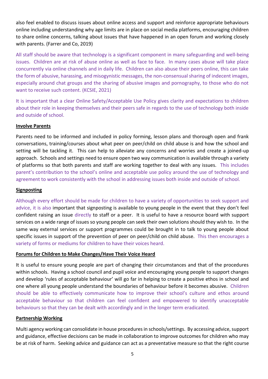also feel enabled to discuss issues about online access and support and reinforce appropriate behaviours online including understanding why age limits are in place on social media platforms, encouraging children to share online concerns, talking about issues that have happened in an open forum and working closely with parents. (Farrer and Co, 2019)

All staff should be aware that technology is a significant component in many safeguarding and well-being issues. Children are at risk of abuse online as well as face to face. In many cases abuse will take place concurrently via online channels and in daily life. Children can also abuse their peers online, this can take the form of abusive, harassing, and misogynistic messages, the non-consensual sharing of indecent images, especially around chat groups and the sharing of abusive images and pornography, to those who do not want to receive such content. (KCSIE, 2021)

It is important that a clear Online Safety/Acceptable Use Policy gives clarity and expectations to children about their role in keeping themselves and their peers safe in regards to the use of technology both inside and outside of school.

## **Involve Parents**

Parents need to be informed and included in policy forming, lesson plans and thorough open and frank conversations, training/courses about what peer on peer/child on child abuse is and how the school and setting will be tackling it. This can help to alleviate any concerns and worries and create a joined-up approach. Schools and settings need to ensure open two way communication is available through a variety of platforms so that both parents and staff are working together to deal with any issues. This includes parent's contribution to the school's online and acceptable use policy around the use of technology and agreement to work consistently with the school in addressing issues both inside and outside of school.

#### **Signposting**

Although every effort should be made for children to have a variety of opportunities to seek support and advice, it is also important that signposting is available to young people in the event that they don't feel confident raising an issue directly to staff or a peer. It is useful to have a resource board with support services on a wide range of issues so young people can seek their own solutions should they wish to. In the same way external services or support programmes could be brought in to talk to young people about specific issues in support of the prevention of peer on peer/child on child abuse. This then encourages a variety of forms or mediums for children to have their voices heard.

## **Forums for Children to Make Changes/Have Their Voice Heard**

It is useful to ensure young people are part of changing their circumstances and that of the procedures within schools. Having a school council and pupil voice and encouraging young people to support changes and develop 'rules of acceptable behaviour' will go far in helping to create a positive ethos in school and one where all young people understand the boundaries of behaviour before it becomes abusive. Children should be able to effectively communicate how to improve their school's culture and ethos around acceptable behaviour so that children can feel confident and empowered to identify unacceptable behaviours so that they can be dealt with accordingly and in the longer term eradicated.

#### **Partnership Working**

Multi agency working can consolidate in house procedures in schools/settings. By accessing advice, support and guidance, effective decisions can be made in collaboration to improve outcomes for children who may be at risk of harm. Seeking advice and guidance can act as a preventative measure so that the right course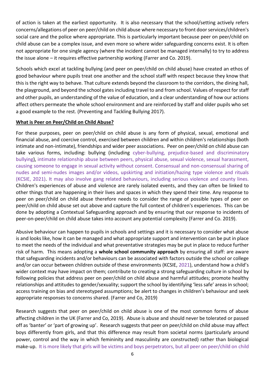of action is taken at the earliest opportunity. It is also necessary that the school/setting actively refers concerns/allegations of peer on peer/child on child abuse where necessary to front door services/children's social care and the police where appropriate. This is particularly important because peer on peer/child on child abuse can be a complex issue, and even more so where wider safeguarding concerns exist. It is often not appropriate for one single agency (where the incident cannot be managed internally) to try to address the issue alone – it requires effective partnership working (Farrer and Co. 2019).

Schools which excel at tackling bullying (and peer on peer/child on child abuse) have created an ethos of good behaviour where pupils treat one another and the school staff with respect because they know that this is the right way to behave. That culture extends beyond the classroom to the corridors, the dining hall, the playground, and beyond the school gates including travel to and from school. Values of respect for staff and other pupils, an understanding of the value of education, and a clear understanding of how our actions affect others permeate the whole school environment and are reinforced by staff and older pupils who set a good example to the rest. (Preventing and Tackling Bullying 2017).

#### **What is Peer on Peer/Child on Child Abuse?**

For these purposes, peer on peer/child on child abuse is any form of physical, sexual, emotional and financial abuse, and coercive control, exercised between children and within children's relationships (both intimate and non-intimate), friendships and wider peer associations. Peer on peer/child on child abuse can take various forms, including: bullying (including cyber-bullying, prejudice-based and discriminatory bullying), intimate relationship abuse between peers, physical abuse, sexual violence, sexual harassment, causing someone to engage in sexual activity without consent. Consensual and non-consensual sharing of nudes and semi-nudes images and/or videos, upskirting and initiation/hazing type violence and rituals (KCSIE, 2021). It may also involve gang related behaviours, including serious violence and county lines. Children's experiences of abuse and violence are rarely isolated events, and they can often be linked to other things that are happening in their lives and spaces in which they spend their time. Any response to peer on peer/child on child abuse therefore needs to consider the range of possible types of peer on peer/child on child abuse set out above and capture the full context of children's experiences. This can be done by adopting a Contextual Safeguarding approach and by ensuring that our response to incidents of peer-on-peer/child on child abuse takes into account any potential complexity (Farrer and Co. 2019).

Abusive behaviour can happen to pupils in schools and settings and it is necessary to consider what abuse is and looks like, how it can be managed and what appropriate support and intervention can be put in place to meet the needs of the individual and what preventative strategies may be put in place to reduce further risk of harm. This means adopting a **whole school community approach** by ensuring all staff: are aware that safeguarding incidents and/or behaviours can be associated with factors outside the school or college and/or can occur between children outside of these environments (KCSIE, 2021), understand how a child's wider context may have impact on them; contribute to creating a strong safeguarding culture in school by following policies that address peer on peer/child on child abuse and harmful attitudes; promote healthy relationships and attitudes to gender/sexuality; support the school by identifying 'less safe' areas in school; access training on bias and stereotyped assumptions; be alert to changes in children's behaviour and seek appropriate responses to concerns shared. (Farrer and Co, 2019)

Research suggests that peer on peer/child on child abuse is one of the most common forms of abuse affecting children in the UK (Farrer and Co, 2019). Abuse is abuse and should never be tolerated or passed off as 'banter' or 'part of growing up'. Research suggests that peer on peer/child on child abuse may affect boys differently from girls, and that this difference may result from societal norms (particularly around power, control and the way in which femininity and masculinity are constructed) rather than biological make-up. It is more likely that girls will be victims and boys perpetrators, but all peer on peer/child on child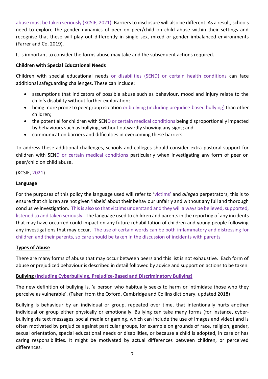abuse must be taken seriously (KCSIE, 2021). Barriers to disclosure will also be different. As a result, schools need to explore the gender dynamics of peer on peer/child on child abuse within their settings and recognise that these will play out differently in single sex, mixed or gender imbalanced environments (Farrer and Co. 2019).

It is important to consider the forms abuse may take and the subsequent actions required.

## **Children with Special Educational Needs**

Children with special educational needs or disabilities (SEND) or certain health conditions can face additional safeguarding challenges. These can include:

- assumptions that indicators of possible abuse such as behaviour, mood and injury relate to the child's disability without further exploration;
- being more prone to peer group isolation or bullying (including prejudice-based bullying) than other children;
- the potential for children with SEND or certain medical conditions being disproportionally impacted by behaviours such as bullying, without outwardly showing any signs; and
- communication barriers and difficulties in overcoming these barriers.

To address these additional challenges, schools and colleges should consider extra pastoral support for children with SEND or certain medical conditions particularly when investigating any form of peer on peer/child on child abuse**.**

## (KCSIE, 2021)

## **Language**

For the purposes of this policy the language used will refer to 'victims' and *alleged* perpetrators, this is to ensure that children are not given 'labels' about their behaviour unfairly and without any full and thorough conclusive investigation. This is also so that victims understand and they will always be believed, supported, listened to and taken seriously. The language used to children and parents in the reporting of any incidents that may have occurred could impact on any future rehabilitation of children and young people following any investigations that may occur. The use of certain words can be both inflammatory and distressing for children and their parents, so care should be taken in the discussion of incidents with parents

## **Types of Abuse**

There are many forms of abuse that may occur between peers and this list is not exhaustive. Each form of abuse or prejudiced behaviour is described in detail followed by advice and support on actions to be taken.

## **Bullying (including Cyberbullying, Prejudice-Based and Discriminatory Bullying)**

The new definition of bullying is, 'a person who habitually seeks to harm or intimidate those who they perceive as vulnerable'. (Taken from the Oxford, Cambridge and Collins dictionary, updated 2018)

Bullying is behaviour by an individual or group, repeated over time, that intentionally hurts another individual or group either physically or emotionally. Bullying can take many forms (for instance, cyberbullying via text messages, social media or gaming, which can include the use of images and video) and is often motivated by prejudice against particular groups, for example on grounds of race, religion, gender, sexual orientation, special educational needs or disabilities, or because a child is adopted, in care or has caring responsibilities. It might be motivated by actual differences between children, or perceived differences.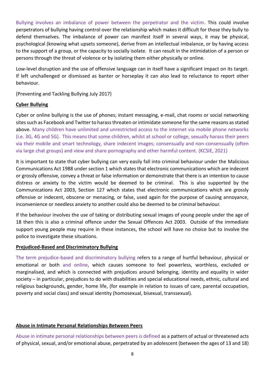Bullying involves an imbalance of power between the perpetrator and the victim. This could involve perpetrators of bullying having control over the relationship which makes it difficult for those they bully to defend themselves. The imbalance of power can manifest itself in several ways, it may be physical, psychological (knowing what upsets someone), derive from an intellectual imbalance, or by having access to the support of a group, or the capacity to socially isolate. It can result in the intimidation of a person or persons through the threat of violence or by isolating them either physically or online.

Low-level disruption and the use of offensive language can in itself have a significant impact on its target. If left unchallenged or dismissed as banter or horseplay it can also lead to reluctance to report other behaviour.

(Preventing and Tackling Bullying July 2017)

#### **Cyber Bullying**

Cyber or online bullying is the use of phones; instant messaging, e-mail, chat rooms or social networking sites such as Facebook and Twitter to harass threaten or intimidate someone for the same reasons as stated above. Many children have unlimited and unrestricted access to the internet via mobile phone networks (i.e. 3G, 4G and 5G). This means that some children, whilst at school or college, sexually harass their peers via their mobile and smart technology, share indecent images; consensually and non-consensually (often via large chat groups) and view and share pornography and other harmful content. (KCSIE, 2021)

It is important to state that cyber bullying can very easily fall into criminal behaviour under the Malicious Communications Act 1988 under section 1 which states that electronic communications which are indecent or grossly offensive, convey a threat or false information or demonstrate that there is an intention to cause distress or anxiety to the victim would be deemed to be criminal. This is also supported by the Communications Act 2003, Section 127 which states that electronic communications which are grossly offensive or indecent, obscene or menacing, or false, used again for the purpose of causing annoyance, inconvenience or needless anxiety to another could also be deemed to be criminal behaviour.

If the behaviour involves the use of taking or distributing sexual images of young people under the age of 18 then this is also a criminal offence under the Sexual Offences Act 2003. Outside of the immediate support young people may require in these instances, the school will have no choice but to involve the police to investigate these situations.

## **Prejudiced-Based and Discriminatory Bullying**

The term prejudice-based and discriminatory bullying refers to a range of hurtful behaviour, physical or emotional or both and online, which causes someone to feel powerless, worthless, excluded or marginalised, and which is connected with prejudices around belonging, identity and equality in wider society – in particular, prejudices to do with disabilities and special educational needs, ethnic, cultural and religious backgrounds, gender, home life, (for example in relation to issues of care, parental occupation, poverty and social class) and sexual identity (homosexual, bisexual, transsexual).

## **Abuse in Intimate Personal Relationships Between Peers**

Abuse in intimate personal relationships between peers is defined as a pattern of actual or threatened acts of physical, sexual, and/or emotional abuse, perpetrated by an adolescent (between the ages of 13 and 18)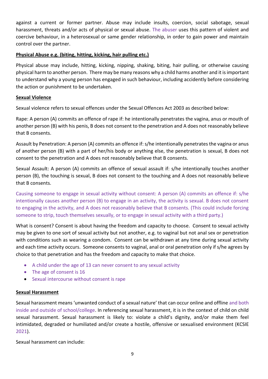against a current or former partner. Abuse may include insults, coercion, social sabotage, sexual harassment, threats and/or acts of physical or sexual abuse. The abuser uses this pattern of violent and coercive behaviour, in a heterosexual or same gender relationship, in order to gain power and maintain control over the partner.

## **Physical Abuse e.g. (biting, hitting, kicking, hair pulling etc.)**

Physical abuse may include, hitting, kicking, nipping, shaking, biting, hair pulling, or otherwise causing physical harm to another person. There may be many reasons why a child harms another and it is important to understand why a young person has engaged in such behaviour, including accidently before considering the action or punishment to be undertaken.

## **Sexual Violence**

Sexual violence refers to sexual offences under the Sexual Offences Act 2003 as described below:

Rape: A person (A) commits an offence of rape if: he intentionally penetrates the vagina, anus or mouth of another person (B) with his penis, B does not consent to the penetration and A does not reasonably believe that B consents.

Assault by Penetration: A person (A) commits an offence if: s/he intentionally penetrates the vagina or anus of another person (B) with a part of her/his body or anything else, the penetration is sexual, B does not consent to the penetration and A does not reasonably believe that B consents.

Sexual Assault: A person (A) commits an offence of sexual assault if: s/he intentionally touches another person (B), the touching is sexual, B does not consent to the touching and A does not reasonably believe that B consents.

Causing someone to engage in sexual activity without consent: A person (A) commits an offence if: s/he intentionally causes another person (B) to engage in an activity, the activity is sexual. B does not consent to engaging in the activity, and A does not reasonably believe that B consents. (This could include forcing someone to strip, touch themselves sexually, or to engage in sexual activity with a third party.)

What is consent? Consent is about having the freedom and capacity to choose. Consent to sexual activity may be given to one sort of sexual activity but not another, e.g. to vaginal but not anal sex or penetration with conditions such as wearing a condom. Consent can be withdrawn at any time during sexual activity and each time activity occurs. Someone consents to vaginal, anal or oral penetration only if s/he agrees by choice to that penetration and has the freedom and capacity to make that choice.

- A child under the age of 13 can never consent to any sexual activity
- The age of consent is 16
- Sexual intercourse without consent is rape

## **Sexual Harassment**

Sexual harassment means 'unwanted conduct of a sexual nature' that can occur online and offline and both inside and outside of school/college. In referencing sexual harassment, it is in the context of child on child sexual harassment. Sexual harassment is likely to: violate a child's dignity, and/or make them feel intimidated, degraded or humiliated and/or create a hostile, offensive or sexualised environment (KCSIE 2021).

Sexual harassment can include: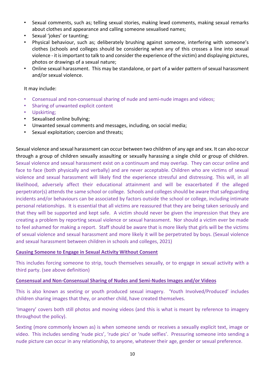- Sexual comments, such as; telling sexual stories, making lewd comments, making sexual remarks about clothes and appearance and calling someone sexualised names;
- Sexual 'jokes' or taunting;
- Physical behaviour, such as; deliberately brushing against someone, interfering with someone's clothes (schools and colleges should be considering when any of this crosses a line into sexual violence - it is important to talk to and consider the experience of the victim) and displaying pictures, photos or drawings of a sexual nature;
- Online sexual harassment. This may be standalone, or part of a wider pattern of sexual harassment and/or sexual violence.

#### It may include:

- Consensual and non-consensual sharing of nude and semi-nude images and videos;
- Sharing of unwanted explicit content
- Upskirting;
- Sexualised online bullying;
- Unwanted sexual comments and messages, including, on social media;
- Sexual exploitation; coercion and threats;

Sexual violence and sexual harassment can occur between two children of any age and sex. It can also occur through a group of children sexually assaulting or sexually harassing a single child or group of children. Sexual violence and sexual harassment exist on a continuum and may overlap. They can occur online and face to face (both physically and verbally) and are never acceptable. Children who are victims of sexual violence and sexual harassment will likely find the experience stressful and distressing. This will, in all likelihood, adversely affect their educational attainment and will be exacerbated if the alleged perpetrator(s) attends the same school or college. Schools and colleges should be aware that safeguarding incidents and/or behaviours can be associated by factors outside the school or college, including intimate personal relationships. It is essential that all victims are reassured that they are being taken seriously and that they will be supported and kept safe. A victim should never be given the impression that they are creating a problem by reporting sexual violence or sexual harassment. Nor should a victim ever be made to feel ashamed for making a report. Staff should be aware that is more likely that girls will be the victims of sexual violence and sexual harassment and more likely it will be perpetrated by boys. (Sexual violence and sexual harassment between children in schools and colleges, 2021)

#### **Causing Someone to Engage in Sexual Activity Without Consent**

This includes forcing someone to strip, touch themselves sexually, or to engage in sexual activity with a third party. (see above definition)

#### **Consensual and Non-Consensual Sharing of Nudes and Semi-Nudes Images and/or Videos**

This is also known as sexting or youth produced sexual imagery. 'Youth Involved/Produced' includes children sharing images that they, or another child, have created themselves.

'Imagery' covers both still photos and moving videos (and this is what is meant by reference to imagery throughout the policy).

Sexting (more commonly known as) is when someone sends or receives a sexually explicit text, image or video. This includes sending 'nude pics', 'rude pics' or 'nude selfies'. Pressuring someone into sending a nude picture can occur in any relationship, to anyone, whatever their age, gender or sexual preference.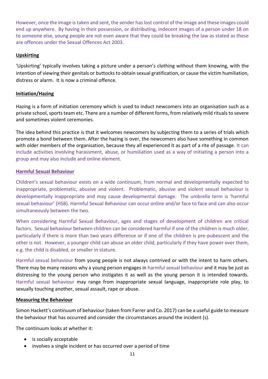However, once the image is taken and sent, the sender has lost control of the image and these images could end up anywhere. By having in their possession, or distributing, indecent images of a person under 18 on to someone else, young people are not even aware that they could be breaking the law as stated as these are offences under the Sexual Offences Act 2003.

## **Upskirting**

'Upskirting' typically involves taking a picture under a person's clothing without them knowing, with the intention of viewing their genitals or buttocks to obtain sexual gratification, or cause the victim humiliation, distress or alarm. It is now a criminal offence.

#### **Initiation/Hazing**

Hazing is a form of initiation ceremony which is used to induct newcomers into an organisation such as a private school, sports team etc. There are a number of different forms, from relatively mild rituals to severe and sometimes violent ceremonies.

The idea behind this practice is that it welcomes newcomers by subjecting them to a series of trials which promote a bond between them. After the hazing is over, the newcomers also have something in common with older members of the organisation, because they all experienced it as part of a rite of passage. It can include activities involving harassment, abuse, or humiliation used as a way of initiating a person into a group and may also include and online element.

#### **Harmful Sexual Behaviour**

Children's sexual behaviour exists on a wide continuum, from normal and developmentally expected to inappropriate, problematic, abusive and violent. Problematic, abusive and violent sexual behaviour is developmentally inappropriate and may cause developmental damage. The umbrella term is 'harmful sexual behaviour' (HSB). Harmful Sexual Behaviour can occur online and/or face to face and can also occur simultaneously between the two.

When considering Harmful Sexual Behaviour, ages and stages of development of children are critical factors. Sexual behaviour between children can be considered harmful if one of the children is much older, particularly if there is more than two years difference or if one of the children is pre-pubescent and the other is not. However, a younger child can abuse an older child, particularly if they have power over them, e.g. the child is disabled, or smaller in stature.

Harmful sexual behaviour from young people is not always contrived or with the intent to harm others. There may be many reasons why a young person engages in harmful sexual behaviour and it may be just as distressing to the young person who instigates it as well as the young person it is intended towards. Harmful sexual behaviour may range from inappropriate sexual language, inappropriate role play, to sexually touching another, sexual assault, rape or abuse.

#### **Measuring the Behaviour**

Simon Hackett's continuum of behaviour (taken from Farrer and Co. 2017) can be a useful guide to measure the behaviour that has occurred and consider the circumstances around the incident (s).

The continuum looks at whether it:

- is socially acceptable
- involves a single incident or has occurred over a period of time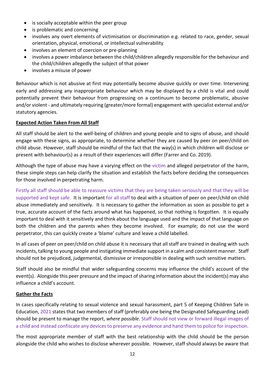- is socially acceptable within the peer group
- is problematic and concerning
- involves any overt elements of victimisation or discrimination e.g. related to race, gender, sexual orientation, physical, emotional, or intellectual vulnerability
- involves an element of coercion or pre-planning
- involves a power imbalance between the child/children allegedly responsible for the behaviour and the child/children allegedly the subject of that power
- involves a misuse of power

Behaviour which is not abusive at first may potentially become abusive quickly or over time. Intervening early and addressing any inappropriate behaviour which may be displayed by a child is vital and could potentially prevent their behaviour from progressing on a continuum to become problematic, abusive and/or violent - and ultimately requiring (greater/more formal) engagement with specialist external and/or statutory agencies.

## **Expected Action Taken From All Staff**

All staff should be alert to the well-being of children and young people and to signs of abuse, and should engage with these signs, as appropriate, to determine whether they are caused by peer on peer/child on child abuse. However, staff should be mindful of the fact that the way(s) in which children will disclose or present with behaviour(s) as a result of their experiences will differ (Farrer and Co. 2019).

Although the type of abuse may have a varying effect on the victim and alleged perpetrator of the harm, these simple steps can help clarify the situation and establish the facts before deciding the consequences for those involved in perpetrating harm.

Firstly all staff should be able to reassure victims that they are being taken seriously and that they will be supported and kept safe. It is important for all staff to deal with a situation of peer on peer/child on child abuse immediately and sensitively. It is necessary to gather the information as soon as possible to get a true, accurate account of the facts around what has happened, so that nothing is forgotten. It is equally important to deal with it sensitively and think about the language used and the impact of that language on both the children and the parents when they become involved. For example; do not use the word perpetrator, this can quickly create a 'blame' culture and leave a child labelled.

In all cases of peer on peer/child on child abuse it is necessary that all staff are trained in dealing with such incidents, talking to young people and instigating immediate support in a calm and consistent manner. Staff should not be prejudiced, judgemental, dismissive or irresponsible in dealing with such sensitive matters.

Staff should also be mindful that wider safeguarding concerns may influence the child's account of the event(s). Alongside this peer pressure and the impact of sharing information about the incident(s) may also influence a child's account.

#### **Gather the Facts**

In cases specifically relating to sexual violence and sexual harassment, part 5 of Keeping Children Safe in Education, 2021 states that two members of staff (preferably one being the Designated Safeguarding Lead) should be present to manage the report, *where possible*. Staff should not view or forward illegal images of a child and instead confiscate any devices to preserve any evidence and hand them to police for inspection.

The most appropriate member of staff with the best relationship with the child should be the person alongside the child who wishes to disclose wherever possible. However, staff should always be aware that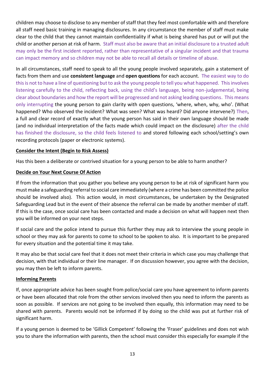children may choose to disclose to any member of staff that they feel most comfortable with and therefore all staff need basic training in managing disclosures. In any circumstance the member of staff must make clear to the child that they cannot maintain confidentiality if what is being shared has put or will put the child or another person at risk of harm. Staff must also be aware that an initial disclosure to a trusted adult may only be the first incident reported, rather than representative of a singular incident and that trauma can impact memory and so children may not be able to recall all details or timeline of abuse.

In all circumstances, staff need to speak to all the young people involved separately, gain a statement of facts from them and use **consistent language** and **open questions** for each account. The easiest way to do this is not to have a line of questioning but to ask the young people to tell you what happened. This involves listening carefully to the child, reflecting back, using the child's language, being non-judgemental, being clear about boundaries and how the report will be progressed and not asking leading questions. This means only interrupting the young person to gain clarity with open questions, 'where, when, why, who'. (What happened? Who observed the incident? What was seen? What was heard? Did anyone intervene?) Then, a full and clear record of exactly what the young person has said in their own language should be made (and no individual interpretation of the facts made which could impact on the disclosure) after the child has finished the disclosure, so the child feels listened to and stored following each school/setting's own recording protocols (paper or electronic systems).

#### **Consider the Intent (Begin to Risk Assess)**

Has this been a deliberate or contrived situation for a young person to be able to harm another?

#### **Decide on Your Next Course Of Action**

If from the information that you gather you believe any young person to be at risk of significant harm you must make a safeguarding referral to social care immediately (where a crime has been committed the police should be involved also). This action would, in most circumstances, be undertaken by the Designated Safeguarding Lead but in the event of their absence the referral can be made by another member of staff. If this is the case, once social care has been contacted and made a decision on what will happen next then you will be informed on your next steps.

If social care and the police intend to pursue this further they may ask to interview the young people in school or they may ask for parents to come to school to be spoken to also. It is important to be prepared for every situation and the potential time it may take.

It may also be that social care feel that it does not meet their criteria in which case you may challenge that decision, with that individual or their line manager. If on discussion however, you agree with the decision, you may then be left to inform parents.

#### **Informing Parents**

If, once appropriate advice has been sought from police/social care you have agreement to inform parents or have been allocated that role from the other services involved then you need to inform the parents as soon as possible. If services are not going to be involved then equally, this information may need to be shared with parents. Parents would not be informed if by doing so the child was put at further risk of significant harm.

If a young person is deemed to be 'Gillick Competent' following the 'Fraser' guidelines and does not wish you to share the information with parents, then the school must consider this especially for example if the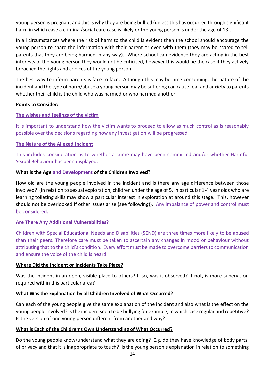young person is pregnant and this is why they are being bullied (unless this has occurred through significant harm in which case a criminal/social care case is likely or the young person is under the age of 13).

In all circumstances where the risk of harm to the child is evident then the school should encourage the young person to share the information with their parent or even with them (they may be scared to tell parents that they are being harmed in any way). Where school can evidence they are acting in the best interests of the young person they would not be criticised, however this would be the case if they actively breached the rights and choices of the young person.

The best way to inform parents is face to face. Although this may be time consuming, the nature of the incident and the type of harm/abuse a young person may be suffering can cause fear and anxiety to parents whether their child is the child who was harmed or who harmed another.

#### **Points to Consider:**

#### **The wishes and feelings of the victim**

It is important to understand how the victim wants to proceed to allow as much control as is reasonably possible over the decisions regarding how any investigation will be progressed.

#### **The Nature of the Alleged Incident**

This includes consideration as to whether a crime may have been committed and/or whether Harmful Sexual Behaviour has been displayed.

#### **What is the Age and Development of the Children Involved?**

How old are the young people involved in the incident and is there any age difference between those involved? (In relation to sexual exploration, children under the age of 5, in particular 1-4 year olds who are learning toileting skills may show a particular interest in exploration at around this stage. This, however should not be overlooked if other issues arise (see following)). Any imbalance of power and control must be considered.

#### **Are There Any Additional Vulnerabilities?**

Children with Special Educational Needs and Disabilities (SEND) are three times more likely to be abused than their peers. Therefore care must be taken to ascertain any changes in mood or behaviour without attributing that to the child's condition. Every effort must be made to overcome barriers to communication and ensure the voice of the child is heard.

#### **Where Did the Incident or Incidents Take Place?**

Was the incident in an open, visible place to others? If so, was it observed? If not, is more supervision required within this particular area?

## **What Was the Explanation by all Children Involved of What Occurred?**

Can each of the young people give the same explanation of the incident and also what is the effect on the young people involved? Is the incident seen to be bullying for example, in which case regular and repetitive? Is the version of one young person different from another and why?

## **What is Each of the Children's Own Understanding of What Occurred?**

Do the young people know/understand what they are doing? E.g. do they have knowledge of body parts, of privacy and that it is inappropriate to touch? Is the young person's explanation in relation to something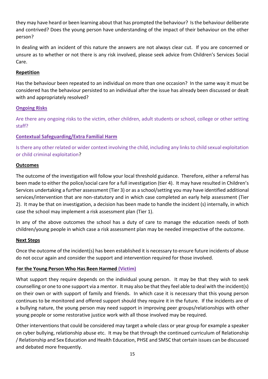they may have heard or been learning about that has prompted the behaviour? Is the behaviour deliberate and contrived? Does the young person have understanding of the impact of their behaviour on the other person?

In dealing with an incident of this nature the answers are not always clear cut. If you are concerned or unsure as to whether or not there is any risk involved, please seek advice from Children's Services Social Care.

## **Repetition**

Has the behaviour been repeated to an individual on more than one occasion? In the same way it must be considered has the behaviour persisted to an individual after the issue has already been discussed or dealt with and appropriately resolved?

## **Ongoing Risks**

Are there any ongoing risks to the victim, other children, adult students or school, college or other setting staff?

## **Contextual Safeguarding/Extra Familial Harm**

Is there any other related or wider context involving the child, including any links to child sexual exploitation or child criminal exploitation?

## **Outcomes**

The outcome of the investigation will follow your local threshold guidance. Therefore, either a referral has been made to either the police/social care for a full investigation (tier 4). It may have resulted in Children's Services undertaking a further assessment (Tier 3) or as a school/setting you may have identified additional services/intervention that are non-statutory and in which case completed an early help assessment (Tier 2). It may be that on investigation, a decision has been made to handle the incident (s) internally, in which case the school may implement a risk assessment plan (Tier 1).

In any of the above outcomes the school has a duty of care to manage the education needs of both children/young people in which case a risk assessment plan may be needed irrespective of the outcome.

## **Next Steps**

Once the outcome of the incident(s) has been established it is necessary to ensure future incidents of abuse do not occur again and consider the support and intervention required for those involved.

## **For the Young Person Who Has Been Harmed (Victim)**

What support they require depends on the individual young person. It may be that they wish to seek counselling or one to one support via a mentor. It may also be that they feel able to deal with the incident(s) on their own or with support of family and friends. In which case it is necessary that this young person continues to be monitored and offered support should they require it in the future. If the incidents are of a bullying nature, the young person may need support in improving peer groups/relationships with other young people or some restorative justice work with all those involved may be required.

Other interventions that could be considered may target a whole class or year group for example a speaker on cyber bullying, relationship abuse etc. It may be that through the continued curriculum of Relationship / Relationship and Sex Education and Health Education, PHSE and SMSC that certain issues can be discussed and debated more frequently.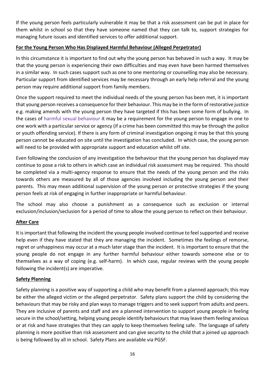If the young person feels particularly vulnerable it may be that a risk assessment can be put in place for them whilst in school so that they have someone named that they can talk to, support strategies for managing future issues and identified services to offer additional support.

## **For the Young Person Who Has Displayed Harmful Behaviour (Alleged Perpetrator)**

In this circumstance it is important to find out why the young person has behaved in such a way. It may be that the young person is experiencing their own difficulties and may even have been harmed themselves in a similar way. In such cases support such as one to one mentoring or counselling may also be necessary. Particular support from identified services may be necessary through an early help referral and the young person may require additional support from family members.

Once the support required to meet the individual needs of the young person has been met, it is important that young person receives a consequence for their behaviour. This may be in the form of restorative justice e.g. making amends with the young person they have targeted if this has been some form of bullying. In the cases of harmful sexual behaviour it may be a requirement for the young person to engage in one to one work with a particular service or agency (if a crime has been committed this may be through the police or youth offending service). If there is any form of criminal investigation ongoing it may be that this young person cannot be educated on site until the investigation has concluded. In which case, the young person will need to be provided with appropriate support and education whilst off site.

Even following the conclusion of any investigation the behaviour that the young person has displayed may continue to pose a risk to others in which case an individual risk assessment may be required. This should be completed via a multi-agency response to ensure that the needs of the young person and the risks towards others are measured by all of those agencies involved including the young person and their parents. This may mean additional supervision of the young person or protective strategies if the young person feels at risk of engaging in further inappropriate or harmful behaviour.

The school may also choose a punishment as a consequence such as exclusion or internal exclusion/inclusion/seclusion for a period of time to allow the young person to reflect on their behaviour.

## **After Care**

It is important that following the incident the young people involved continue to feel supported and receive help even if they have stated that they are managing the incident. Sometimes the feelings of remorse, regret or unhappiness may occur at a much later stage than the incident. It is important to ensure that the young people do not engage in any further harmful behaviour either towards someone else or to themselves as a way of coping (e.g. self-harm). In which case, regular reviews with the young people following the incident(s) are imperative.

## **Safety Planning**

Safety planning is a positive way of supporting a child who may benefit from a planned approach; this may be either the alleged victim or the alleged perpetrator. Safety plans support the child by considering the behaviours that may be risky and plan ways to manage triggers and to seek support from adults and peers. They are inclusive of parents and staff and are a planned intervention to support young people in feeling secure in the school/setting, helping young people identify behaviours that may leave them feeling anxious or at risk and have strategies that they can apply to keep themselves feeling safe. The language of safety planning is more positive than risk assessment and can give security to the child that a joined up approach is being followed by all in school. Safety Plans are available via PGSF.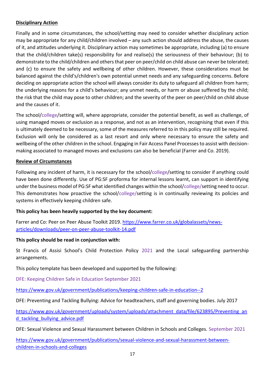## **Disciplinary Action**

Finally and in some circumstances, the school/setting may need to consider whether disciplinary action may be appropriate for any child/children involved – any such action should address the abuse, the causes of it, and attitudes underlying it. Disciplinary action may sometimes be appropriate, including (a) to ensure that the child/children take(s) responsibility for and realise(s) the seriousness of their behaviour; (b) to demonstrate to the child/children and others that peer on peer/child on child abuse can never be tolerated; and (c) to ensure the safety and wellbeing of other children. However, these considerations must be balanced against the child's/children's own potential unmet needs and any safeguarding concerns. Before deciding on appropriate action the school will always consider its duty to safeguard all children from harm; the underlying reasons for a child's behaviour; any unmet needs, or harm or abuse suffered by the child; the risk that the child may pose to other children; and the severity of the peer on peer/child on child abuse and the causes of it.

The school/college/setting will, where appropriate, consider the potential benefit, as well as challenge, of using managed moves or exclusion as a response, and not as an intervention, recognising that even if this is ultimately deemed to be necessary, some of the measures referred to in this policy may still be required. Exclusion will only be considered as a last resort and only where necessary to ensure the safety and wellbeing of the other children in the school. Engaging in Fair Access Panel Processes to assist with decisionmaking associated to managed moves and exclusions can also be beneficial (Farrer and Co. 2019).

## **Review of Circumstances**

Following any incident of harm, it is necessary for the school/college/setting to consider if anything could have been done differently. Use of PG:SF proforma for internal lessons learnt, can support in identifying under the business model of PG:SF what identified changes within the school/college/setting need to occur. This demonstrates how proactive the school/college/setting is in continually reviewing its policies and systems in effectively keeping children safe.

## **This policy has been heavily supported by the key document:**

Farrer and Co: Peer on Peer Abuse Toolkit 2019. [https://www.farrer.co.uk/globalassets/news](https://www.farrer.co.uk/globalassets/news-articles/downloads/peer-on-peer-abuse-toolkit-14.pdf)[articles/downloads/peer-on-peer-abuse-toolkit-14.pdf](https://www.farrer.co.uk/globalassets/news-articles/downloads/peer-on-peer-abuse-toolkit-14.pdf)

## **This policy should be read in conjunction with:**

St Francis of Assisi School's Child Protection Policy 2021 and the Local safeguarding partnership arrangements.

This policy template has been developed and supported by the following:

DFE: Keeping Children Safe in Education September 2021

<https://www.gov.uk/government/publications/keeping-children-safe-in-education--2>

DFE: Preventing and Tackling Bullying: Advice for headteachers, staff and governing bodies. July 2017

[https://www.gov.uk/government/uploads/system/uploads/attachment\\_data/file/623895/Preventing\\_an](https://www.gov.uk/government/uploads/system/uploads/attachment_data/file/623895/Preventing_and_tackling_bullying_advice.pdf) [d\\_tackling\\_bullying\\_advice.pdf](https://www.gov.uk/government/uploads/system/uploads/attachment_data/file/623895/Preventing_and_tackling_bullying_advice.pdf)

DFE: Sexual Violence and Sexual Harassment between Children in Schools and Colleges. September 2021

[https://www.gov.uk/government/publications/sexual-violence-and-sexual-harassment-between](https://www.gov.uk/government/publications/sexual-violence-and-sexual-harassment-between-children-in-schools-and-colleges)[children-in-schools-and-colleges](https://www.gov.uk/government/publications/sexual-violence-and-sexual-harassment-between-children-in-schools-and-colleges)